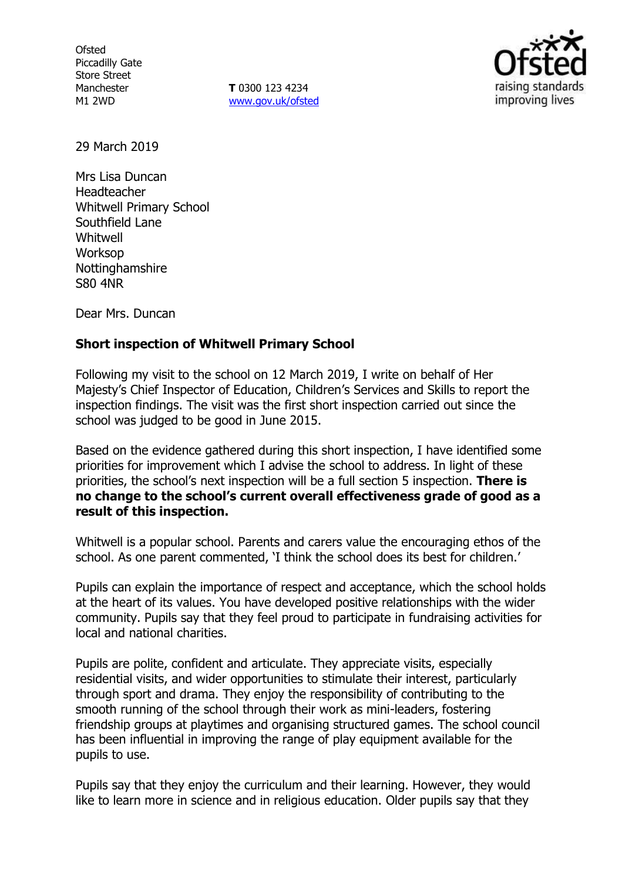**Ofsted** Piccadilly Gate Store Street Manchester M1 2WD

**T** 0300 123 4234 www.gov.uk/ofsted



29 March 2019

Mrs Lisa Duncan Headteacher Whitwell Primary School Southfield Lane Whitwell Worksop **Nottinghamshire** S80 4NR

Dear Mrs. Duncan

### **Short inspection of Whitwell Primary School**

Following my visit to the school on 12 March 2019, I write on behalf of Her Majesty's Chief Inspector of Education, Children's Services and Skills to report the inspection findings. The visit was the first short inspection carried out since the school was judged to be good in June 2015.

Based on the evidence gathered during this short inspection, I have identified some priorities for improvement which I advise the school to address. In light of these priorities, the school's next inspection will be a full section 5 inspection. **There is no change to the school's current overall effectiveness grade of good as a result of this inspection.**

Whitwell is a popular school. Parents and carers value the encouraging ethos of the school. As one parent commented, 'I think the school does its best for children.'

Pupils can explain the importance of respect and acceptance, which the school holds at the heart of its values. You have developed positive relationships with the wider community. Pupils say that they feel proud to participate in fundraising activities for local and national charities.

Pupils are polite, confident and articulate. They appreciate visits, especially residential visits, and wider opportunities to stimulate their interest, particularly through sport and drama. They enjoy the responsibility of contributing to the smooth running of the school through their work as mini-leaders, fostering friendship groups at playtimes and organising structured games. The school council has been influential in improving the range of play equipment available for the pupils to use.

Pupils say that they enjoy the curriculum and their learning. However, they would like to learn more in science and in religious education. Older pupils say that they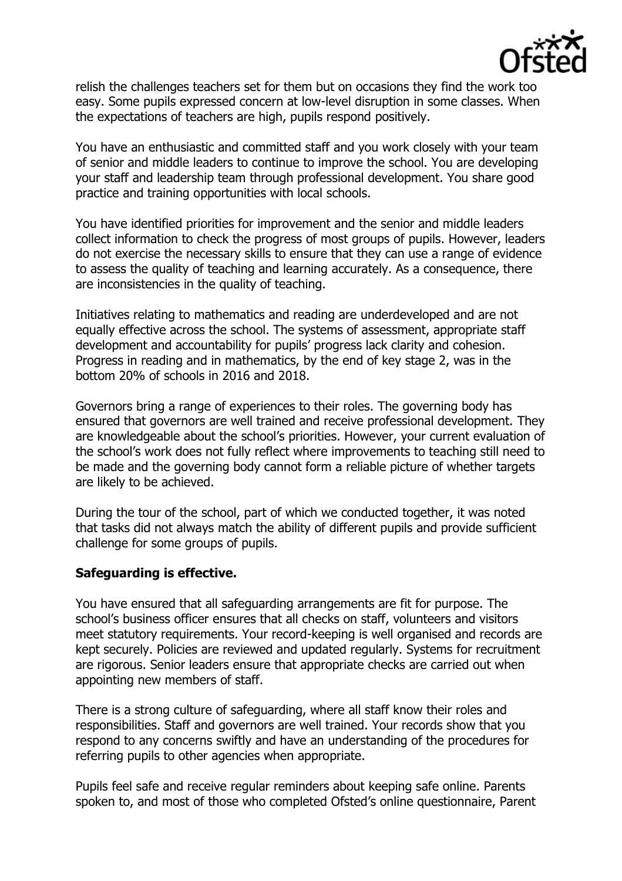

relish the challenges teachers set for them but on occasions they find the work too easy. Some pupils expressed concern at low-level disruption in some classes. When the expectations of teachers are high, pupils respond positively.

You have an enthusiastic and committed staff and you work closely with your team of senior and middle leaders to continue to improve the school. You are developing your staff and leadership team through professional development. You share good practice and training opportunities with local schools.

You have identified priorities for improvement and the senior and middle leaders collect information to check the progress of most groups of pupils. However, leaders do not exercise the necessary skills to ensure that they can use a range of evidence to assess the quality of teaching and learning accurately. As a consequence, there are inconsistencies in the quality of teaching.

Initiatives relating to mathematics and reading are underdeveloped and are not equally effective across the school. The systems of assessment, appropriate staff development and accountability for pupils' progress lack clarity and cohesion. Progress in reading and in mathematics, by the end of key stage 2, was in the bottom 20% of schools in 2016 and 2018.

Governors bring a range of experiences to their roles. The governing body has ensured that governors are well trained and receive professional development. They are knowledgeable about the school's priorities. However, your current evaluation of the school's work does not fully reflect where improvements to teaching still need to be made and the governing body cannot form a reliable picture of whether targets are likely to be achieved.

During the tour of the school, part of which we conducted together, it was noted that tasks did not always match the ability of different pupils and provide sufficient challenge for some groups of pupils.

## **Safeguarding is effective.**

You have ensured that all safeguarding arrangements are fit for purpose. The school's business officer ensures that all checks on staff, volunteers and visitors meet statutory requirements. Your record-keeping is well organised and records are kept securely. Policies are reviewed and updated regularly. Systems for recruitment are rigorous. Senior leaders ensure that appropriate checks are carried out when appointing new members of staff.

There is a strong culture of safeguarding, where all staff know their roles and responsibilities. Staff and governors are well trained. Your records show that you respond to any concerns swiftly and have an understanding of the procedures for referring pupils to other agencies when appropriate.

Pupils feel safe and receive regular reminders about keeping safe online. Parents spoken to, and most of those who completed Ofsted's online questionnaire, Parent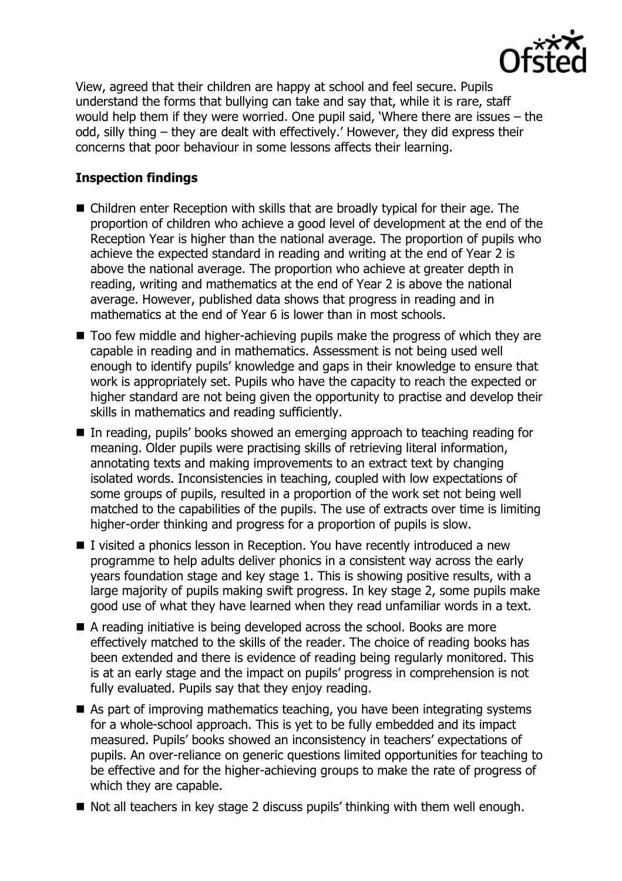

View, agreed that their children are happy at school and feel secure. Pupils understand the forms that bullying can take and say that, while it is rare, staff would help them if they were worried. One pupil said, 'Where there are issues – the odd, silly thing – they are dealt with effectively.' However, they did express their concerns that poor behaviour in some lessons affects their learning.

# **Inspection findings**

- Children enter Reception with skills that are broadly typical for their age. The proportion of children who achieve a good level of development at the end of the Reception Year is higher than the national average. The proportion of pupils who achieve the expected standard in reading and writing at the end of Year 2 is above the national average. The proportion who achieve at greater depth in reading, writing and mathematics at the end of Year 2 is above the national average. However, published data shows that progress in reading and in mathematics at the end of Year 6 is lower than in most schools.
- Too few middle and higher-achieving pupils make the progress of which they are capable in reading and in mathematics. Assessment is not being used well enough to identify pupils' knowledge and gaps in their knowledge to ensure that work is appropriately set. Pupils who have the capacity to reach the expected or higher standard are not being given the opportunity to practise and develop their skills in mathematics and reading sufficiently.
- In reading, pupils' books showed an emerging approach to teaching reading for meaning. Older pupils were practising skills of retrieving literal information, annotating texts and making improvements to an extract text by changing isolated words. Inconsistencies in teaching, coupled with low expectations of some groups of pupils, resulted in a proportion of the work set not being well matched to the capabilities of the pupils. The use of extracts over time is limiting higher-order thinking and progress for a proportion of pupils is slow.
- I visited a phonics lesson in Reception. You have recently introduced a new programme to help adults deliver phonics in a consistent way across the early years foundation stage and key stage 1. This is showing positive results, with a large majority of pupils making swift progress. In key stage 2, some pupils make good use of what they have learned when they read unfamiliar words in a text.
- A reading initiative is being developed across the school. Books are more effectively matched to the skills of the reader. The choice of reading books has been extended and there is evidence of reading being regularly monitored. This is at an early stage and the impact on pupils' progress in comprehension is not fully evaluated. Pupils say that they enjoy reading.
- As part of improving mathematics teaching, you have been integrating systems for a whole-school approach. This is yet to be fully embedded and its impact measured. Pupils' books showed an inconsistency in teachers' expectations of pupils. An over-reliance on generic questions limited opportunities for teaching to be effective and for the higher-achieving groups to make the rate of progress of which they are capable.
- Not all teachers in key stage 2 discuss pupils' thinking with them well enough.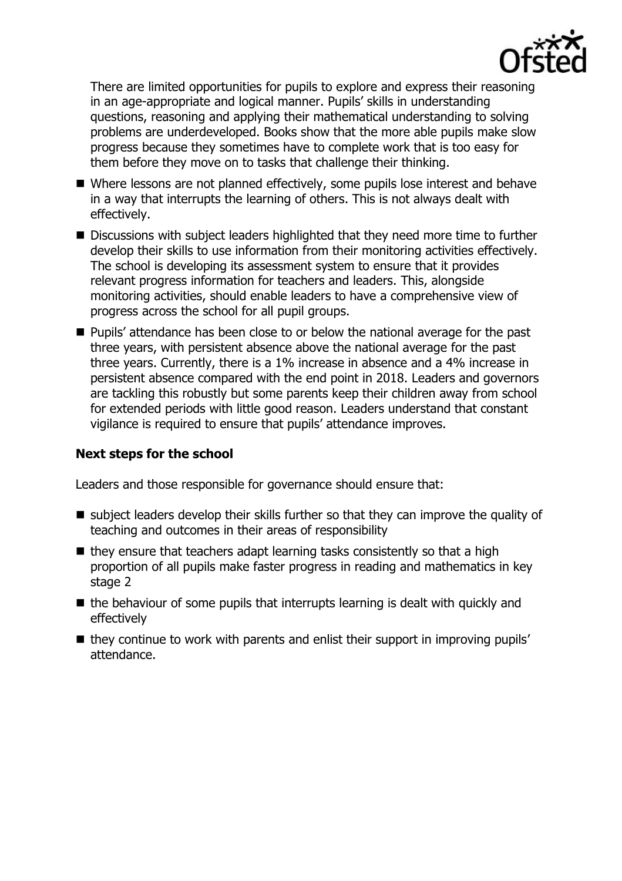

There are limited opportunities for pupils to explore and express their reasoning in an age-appropriate and logical manner. Pupils' skills in understanding questions, reasoning and applying their mathematical understanding to solving problems are underdeveloped. Books show that the more able pupils make slow progress because they sometimes have to complete work that is too easy for them before they move on to tasks that challenge their thinking.

- Where lessons are not planned effectively, some pupils lose interest and behave in a way that interrupts the learning of others. This is not always dealt with effectively.
- Discussions with subject leaders highlighted that they need more time to further develop their skills to use information from their monitoring activities effectively. The school is developing its assessment system to ensure that it provides relevant progress information for teachers and leaders. This, alongside monitoring activities, should enable leaders to have a comprehensive view of progress across the school for all pupil groups.
- **Pupils'** attendance has been close to or below the national average for the past three years, with persistent absence above the national average for the past three years. Currently, there is a 1% increase in absence and a 4% increase in persistent absence compared with the end point in 2018. Leaders and governors are tackling this robustly but some parents keep their children away from school for extended periods with little good reason. Leaders understand that constant vigilance is required to ensure that pupils' attendance improves.

## **Next steps for the school**

Leaders and those responsible for governance should ensure that:

- $\blacksquare$  subject leaders develop their skills further so that they can improve the quality of teaching and outcomes in their areas of responsibility
- $\blacksquare$  they ensure that teachers adapt learning tasks consistently so that a high proportion of all pupils make faster progress in reading and mathematics in key stage 2
- $\blacksquare$  the behaviour of some pupils that interrupts learning is dealt with quickly and effectively
- $\blacksquare$  they continue to work with parents and enlist their support in improving pupils' attendance.